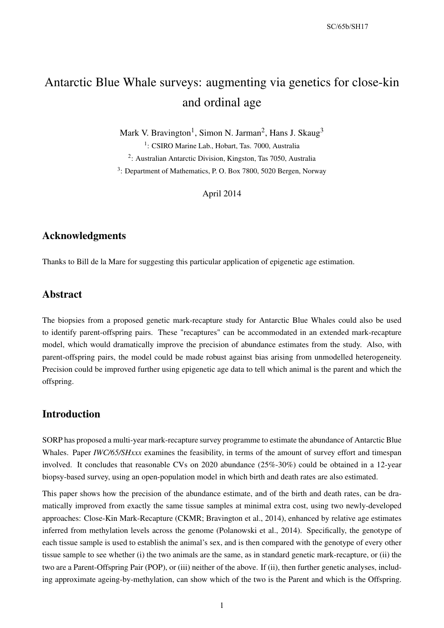# Antarctic Blue Whale surveys: augmenting via genetics for close-kin and ordinal age

Mark V. Bravington<sup>1</sup>, Simon N. Jarman<sup>2</sup>, Hans J. Skaug<sup>3</sup>

<sup>1</sup>: CSIRO Marine Lab., Hobart, Tas. 7000, Australia 2 : Australian Antarctic Division, Kingston, Tas 7050, Australia <sup>3</sup>: Department of Mathematics, P. O. Box 7800, 5020 Bergen, Norway

April 2014

## Acknowledgments

Thanks to Bill de la Mare for suggesting this particular application of epigenetic age estimation.

## Abstract

The biopsies from a proposed genetic mark-recapture study for Antarctic Blue Whales could also be used to identify parent-offspring pairs. These "recaptures" can be accommodated in an extended mark-recapture model, which would dramatically improve the precision of abundance estimates from the study. Also, with parent-offspring pairs, the model could be made robust against bias arising from unmodelled heterogeneity. Precision could be improved further using epigenetic age data to tell which animal is the parent and which the offspring.

# Introduction

SORP has proposed a multi-year mark-recapture survey programme to estimate the abundance of Antarctic Blue Whales. Paper *IWC/65/SHxxx* examines the feasibility, in terms of the amount of survey effort and timespan involved. It concludes that reasonable CVs on 2020 abundance (25%-30%) could be obtained in a 12-year biopsy-based survey, using an open-population model in which birth and death rates are also estimated.

This paper shows how the precision of the abundance estimate, and of the birth and death rates, can be dramatically improved from exactly the same tissue samples at minimal extra cost, using two newly-developed approaches: Close-Kin Mark-Recapture (CKMR; Bravington et al., 2014), enhanced by relative age estimates inferred from methylation levels across the genome (Polanowski et al., 2014). Specifically, the genotype of each tissue sample is used to establish the animal's sex, and is then compared with the genotype of every other tissue sample to see whether (i) the two animals are the same, as in standard genetic mark-recapture, or (ii) the two are a Parent-Offspring Pair (POP), or (iii) neither of the above. If (ii), then further genetic analyses, including approximate ageing-by-methylation, can show which of the two is the Parent and which is the Offspring.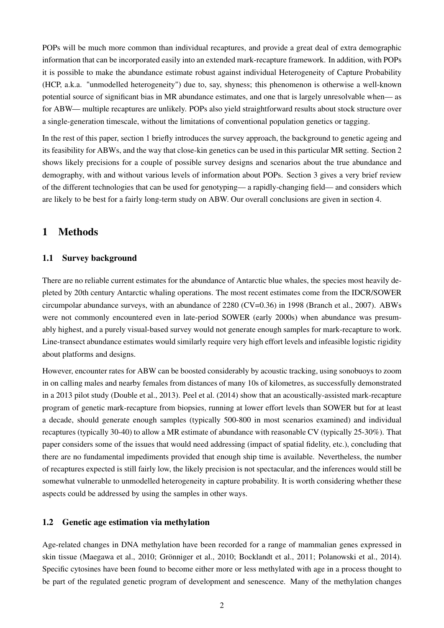POPs will be much more common than individual recaptures, and provide a great deal of extra demographic information that can be incorporated easily into an extended mark-recapture framework. In addition, with POPs it is possible to make the abundance estimate robust against individual Heterogeneity of Capture Probability (HCP, a.k.a. "unmodelled heterogeneity") due to, say, shyness; this phenomenon is otherwise a well-known potential source of significant bias in MR abundance estimates, and one that is largely unresolvable when— as for ABW— multiple recaptures are unlikely. POPs also yield straightforward results about stock structure over a single-generation timescale, without the limitations of conventional population genetics or tagging.

In the rest of this paper, section 1 briefly introduces the survey approach, the background to genetic ageing and its feasibility for ABWs, and the way that close-kin genetics can be used in this particular MR setting. Section 2 shows likely precisions for a couple of possible survey designs and scenarios about the true abundance and demography, with and without various levels of information about POPs. Section 3 gives a very brief review of the different technologies that can be used for genotyping— a rapidly-changing field— and considers which are likely to be best for a fairly long-term study on ABW. Our overall conclusions are given in section 4.

## 1 Methods

## 1.1 Survey background

There are no reliable current estimates for the abundance of Antarctic blue whales, the species most heavily depleted by 20th century Antarctic whaling operations. The most recent estimates come from the IDCR/SOWER circumpolar abundance surveys, with an abundance of 2280 (CV=0.36) in 1998 (Branch et al., 2007). ABWs were not commonly encountered even in late-period SOWER (early 2000s) when abundance was presumably highest, and a purely visual-based survey would not generate enough samples for mark-recapture to work. Line-transect abundance estimates would similarly require very high effort levels and infeasible logistic rigidity about platforms and designs.

However, encounter rates for ABW can be boosted considerably by acoustic tracking, using sonobuoys to zoom in on calling males and nearby females from distances of many 10s of kilometres, as successfully demonstrated in a 2013 pilot study (Double et al., 2013). Peel et al. (2014) show that an acoustically-assisted mark-recapture program of genetic mark-recapture from biopsies, running at lower effort levels than SOWER but for at least a decade, should generate enough samples (typically 500-800 in most scenarios examined) and individual recaptures (typically 30-40) to allow a MR estimate of abundance with reasonable CV (typically 25-30%). That paper considers some of the issues that would need addressing (impact of spatial fidelity, etc.), concluding that there are no fundamental impediments provided that enough ship time is available. Nevertheless, the number of recaptures expected is still fairly low, the likely precision is not spectacular, and the inferences would still be somewhat vulnerable to unmodelled heterogeneity in capture probability. It is worth considering whether these aspects could be addressed by using the samples in other ways.

### 1.2 Genetic age estimation via methylation

Age-related changes in DNA methylation have been recorded for a range of mammalian genes expressed in skin tissue (Maegawa et al., 2010; Grönniger et al., 2010; Bocklandt et al., 2011; Polanowski et al., 2014). Specific cytosines have been found to become either more or less methylated with age in a process thought to be part of the regulated genetic program of development and senescence. Many of the methylation changes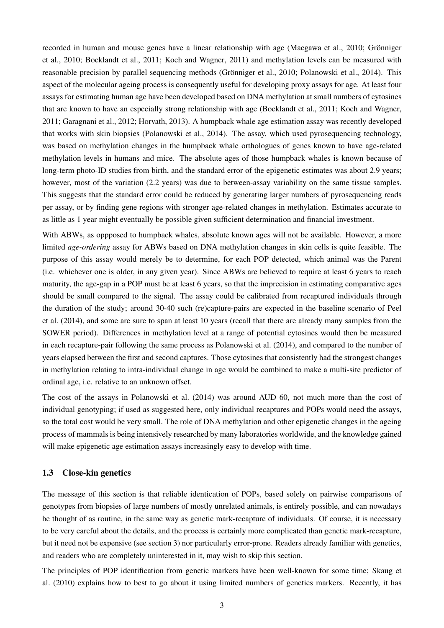recorded in human and mouse genes have a linear relationship with age (Maegawa et al., 2010; Grönniger et al., 2010; Bocklandt et al., 2011; Koch and Wagner, 2011) and methylation levels can be measured with reasonable precision by parallel sequencing methods (Grönniger et al., 2010; Polanowski et al., 2014). This aspect of the molecular ageing process is consequently useful for developing proxy assays for age. At least four assays for estimating human age have been developed based on DNA methylation at small numbers of cytosines that are known to have an especially strong relationship with age (Bocklandt et al., 2011; Koch and Wagner, 2011; Garagnani et al., 2012; Horvath, 2013). A humpback whale age estimation assay was recently developed that works with skin biopsies (Polanowski et al., 2014). The assay, which used pyrosequencing technology, was based on methylation changes in the humpback whale orthologues of genes known to have age-related methylation levels in humans and mice. The absolute ages of those humpback whales is known because of long-term photo-ID studies from birth, and the standard error of the epigenetic estimates was about 2.9 years; however, most of the variation (2.2 years) was due to between-assay variability on the same tissue samples. This suggests that the standard error could be reduced by generating larger numbers of pyrosequencing reads per assay, or by finding gene regions with stronger age-related changes in methylation. Estimates accurate to as little as 1 year might eventually be possible given sufficient determination and financial investment.

With ABWs, as oppposed to humpback whales, absolute known ages will not be available. However, a more limited *age-ordering* assay for ABWs based on DNA methylation changes in skin cells is quite feasible. The purpose of this assay would merely be to determine, for each POP detected, which animal was the Parent (i.e. whichever one is older, in any given year). Since ABWs are believed to require at least 6 years to reach maturity, the age-gap in a POP must be at least 6 years, so that the imprecision in estimating comparative ages should be small compared to the signal. The assay could be calibrated from recaptured individuals through the duration of the study; around 30-40 such (re)capture-pairs are expected in the baseline scenario of Peel et al. (2014), and some are sure to span at least 10 years (recall that there are already many samples from the SOWER period). Differences in methylation level at a range of potential cytosines would then be measured in each recapture-pair following the same process as Polanowski et al. (2014), and compared to the number of years elapsed between the first and second captures. Those cytosines that consistently had the strongest changes in methylation relating to intra-individual change in age would be combined to make a multi-site predictor of ordinal age, i.e. relative to an unknown offset.

The cost of the assays in Polanowski et al. (2014) was around AUD 60, not much more than the cost of individual genotyping; if used as suggested here, only individual recaptures and POPs would need the assays, so the total cost would be very small. The role of DNA methylation and other epigenetic changes in the ageing process of mammals is being intensively researched by many laboratories worldwide, and the knowledge gained will make epigenetic age estimation assays increasingly easy to develop with time.

#### 1.3 Close-kin genetics

The message of this section is that reliable identication of POPs, based solely on pairwise comparisons of genotypes from biopsies of large numbers of mostly unrelated animals, is entirely possible, and can nowadays be thought of as routine, in the same way as genetic mark-recapture of individuals. Of course, it is necessary to be very careful about the details, and the process is certainly more complicated than genetic mark-recapture, but it need not be expensive (see section 3) nor particularly error-prone. Readers already familiar with genetics, and readers who are completely uninterested in it, may wish to skip this section.

The principles of POP identification from genetic markers have been well-known for some time; Skaug et al. (2010) explains how to best to go about it using limited numbers of genetics markers. Recently, it has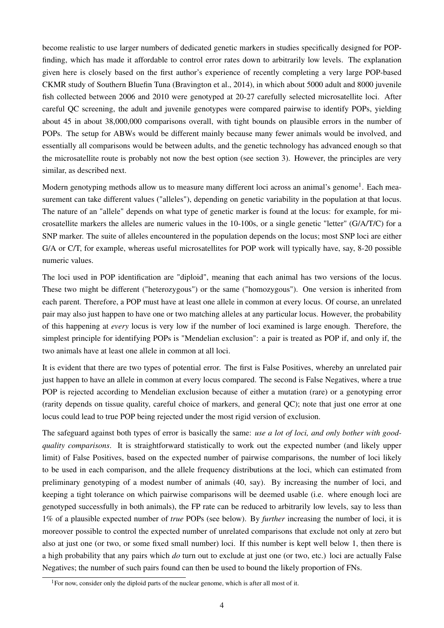become realistic to use larger numbers of dedicated genetic markers in studies specifically designed for POPfinding, which has made it affordable to control error rates down to arbitrarily low levels. The explanation given here is closely based on the first author's experience of recently completing a very large POP-based CKMR study of Southern Bluefin Tuna (Bravington et al., 2014), in which about 5000 adult and 8000 juvenile fish collected between 2006 and 2010 were genotyped at 20-27 carefully selected microsatellite loci. After careful QC screening, the adult and juvenile genotypes were compared pairwise to identify POPs, yielding about 45 in about 38,000,000 comparisons overall, with tight bounds on plausible errors in the number of POPs. The setup for ABWs would be different mainly because many fewer animals would be involved, and essentially all comparisons would be between adults, and the genetic technology has advanced enough so that the microsatellite route is probably not now the best option (see section 3). However, the principles are very similar, as described next.

Modern genotyping methods allow us to measure many different loci across an animal's genome<sup>1</sup>. Each measurement can take different values ("alleles"), depending on genetic variability in the population at that locus. The nature of an "allele" depends on what type of genetic marker is found at the locus: for example, for microsatellite markers the alleles are numeric values in the 10-100s, or a single genetic "letter" (G/A/T/C) for a SNP marker. The suite of alleles encountered in the population depends on the locus; most SNP loci are either G/A or C/T, for example, whereas useful microsatellites for POP work will typically have, say, 8-20 possible numeric values.

The loci used in POP identification are "diploid", meaning that each animal has two versions of the locus. These two might be different ("heterozygous") or the same ("homozygous"). One version is inherited from each parent. Therefore, a POP must have at least one allele in common at every locus. Of course, an unrelated pair may also just happen to have one or two matching alleles at any particular locus. However, the probability of this happening at *every* locus is very low if the number of loci examined is large enough. Therefore, the simplest principle for identifying POPs is "Mendelian exclusion": a pair is treated as POP if, and only if, the two animals have at least one allele in common at all loci.

It is evident that there are two types of potential error. The first is False Positives, whereby an unrelated pair just happen to have an allele in common at every locus compared. The second is False Negatives, where a true POP is rejected according to Mendelian exclusion because of either a mutation (rare) or a genotyping error (rarity depends on tissue quality, careful choice of markers, and general QC); note that just one error at one locus could lead to true POP being rejected under the most rigid version of exclusion.

The safeguard against both types of error is basically the same: *use a lot of loci, and only bother with goodquality comparisons*. It is straightforward statistically to work out the expected number (and likely upper limit) of False Positives, based on the expected number of pairwise comparisons, the number of loci likely to be used in each comparison, and the allele frequency distributions at the loci, which can estimated from preliminary genotyping of a modest number of animals (40, say). By increasing the number of loci, and keeping a tight tolerance on which pairwise comparisons will be deemed usable (i.e. where enough loci are genotyped successfully in both animals), the FP rate can be reduced to arbitrarily low levels, say to less than 1% of a plausible expected number of *true* POPs (see below). By *further* increasing the number of loci, it is moreover possible to control the expected number of unrelated comparisons that exclude not only at zero but also at just one (or two, or some fixed small number) loci. If this number is kept well below 1, then there is a high probability that any pairs which *do* turn out to exclude at just one (or two, etc.) loci are actually False Negatives; the number of such pairs found can then be used to bound the likely proportion of FNs.

<sup>&</sup>lt;sup>1</sup>For now, consider only the diploid parts of the nuclear genome, which is after all most of it.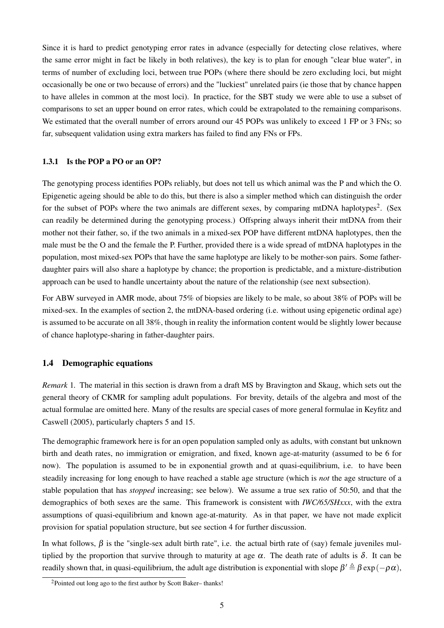Since it is hard to predict genotyping error rates in advance (especially for detecting close relatives, where the same error might in fact be likely in both relatives), the key is to plan for enough "clear blue water", in terms of number of excluding loci, between true POPs (where there should be zero excluding loci, but might occasionally be one or two because of errors) and the "luckiest" unrelated pairs (ie those that by chance happen to have alleles in common at the most loci). In practice, for the SBT study we were able to use a subset of comparisons to set an upper bound on error rates, which could be extrapolated to the remaining comparisons. We estimated that the overall number of errors around our 45 POPs was unlikely to exceed 1 FP or 3 FNs; so far, subsequent validation using extra markers has failed to find any FNs or FPs.

### 1.3.1 Is the POP a PO or an OP?

The genotyping process identifies POPs reliably, but does not tell us which animal was the P and which the O. Epigenetic ageing should be able to do this, but there is also a simpler method which can distinguish the order for the subset of POPs where the two animals are different sexes, by comparing mtDNA haplotypes<sup>2</sup>. (Sex can readily be determined during the genotyping process.) Offspring always inherit their mtDNA from their mother not their father, so, if the two animals in a mixed-sex POP have different mtDNA haplotypes, then the male must be the O and the female the P. Further, provided there is a wide spread of mtDNA haplotypes in the population, most mixed-sex POPs that have the same haplotype are likely to be mother-son pairs. Some fatherdaughter pairs will also share a haplotype by chance; the proportion is predictable, and a mixture-distribution approach can be used to handle uncertainty about the nature of the relationship (see next subsection).

For ABW surveyed in AMR mode, about 75% of biopsies are likely to be male, so about 38% of POPs will be mixed-sex. In the examples of section 2, the mtDNA-based ordering (i.e. without using epigenetic ordinal age) is assumed to be accurate on all 38%, though in reality the information content would be slightly lower because of chance haplotype-sharing in father-daughter pairs.

### 1.4 Demographic equations

*Remark* 1*.* The material in this section is drawn from a draft MS by Bravington and Skaug, which sets out the general theory of CKMR for sampling adult populations. For brevity, details of the algebra and most of the actual formulae are omitted here. Many of the results are special cases of more general formulae in Keyfitz and Caswell (2005), particularly chapters 5 and 15.

The demographic framework here is for an open population sampled only as adults, with constant but unknown birth and death rates, no immigration or emigration, and fixed, known age-at-maturity (assumed to be 6 for now). The population is assumed to be in exponential growth and at quasi-equilibrium, i.e. to have been steadily increasing for long enough to have reached a stable age structure (which is *not* the age structure of a stable population that has *stopped* increasing; see below). We assume a true sex ratio of 50:50, and that the demographics of both sexes are the same. This framework is consistent with *IWC/65/SHxxx*, with the extra assumptions of quasi-equilibrium and known age-at-maturity. As in that paper, we have not made explicit provision for spatial population structure, but see section 4 for further discussion.

In what follows,  $\beta$  is the "single-sex adult birth rate", i.e. the actual birth rate of (say) female juveniles multiplied by the proportion that survive through to maturity at age  $\alpha$ . The death rate of adults is  $\delta$ . It can be readily shown that, in quasi-equilibrium, the adult age distribution is exponential with slope  $\beta'\triangleq\beta\exp(-\rho\alpha),$ 

<sup>2</sup>Pointed out long ago to the first author by Scott Baker– thanks!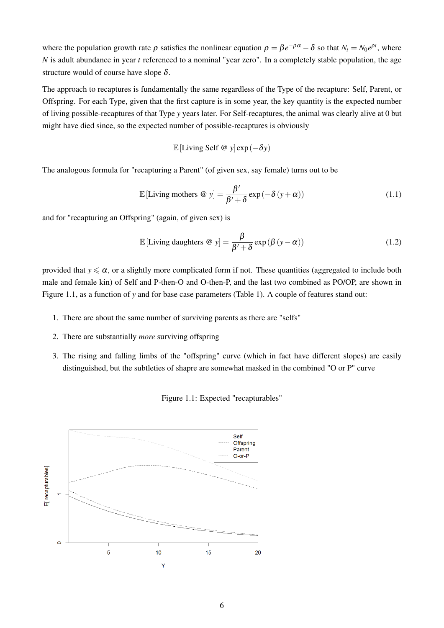where the population growth rate  $\rho$  satisfies the nonlinear equation  $\rho = \beta e^{-\rho \alpha} - \delta$  so that  $N_t = N_0 e^{\rho t}$ , where *N* is adult abundance in year *t* referenced to a nominal "year zero". In a completely stable population, the age structure would of course have slope  $\delta$ .

The approach to recaptures is fundamentally the same regardless of the Type of the recapture: Self, Parent, or Offspring. For each Type, given that the first capture is in some year, the key quantity is the expected number of living possible-recaptures of that Type *y* years later. For Self-recaptures, the animal was clearly alive at 0 but might have died since, so the expected number of possible-recaptures is obviously

$$
\mathbb{E}[\text{Living Self } @y] \exp(-\delta y)
$$

The analogous formula for "recapturing a Parent" (of given sex, say female) turns out to be

$$
\mathbb{E}[\text{ Living mothers } @y] = \frac{\beta'}{\beta' + \delta} \exp(-\delta(y + \alpha)) \tag{1.1}
$$

and for "recapturing an Offspring" (again, of given sex) is

$$
\mathbb{E} \left[ \text{Living daughters} \; \mathcal{Q} \; y \right] = \frac{\beta}{\beta' + \delta} \exp \left( \beta \left( y - \alpha \right) \right) \tag{1.2}
$$

provided that  $y \le \alpha$ , or a slightly more complicated form if not. These quantities (aggregated to include both male and female kin) of Self and P-then-O and O-then-P, and the last two combined as PO/OP, are shown in Figure 1.1, as a function of *y* and for base case parameters (Table 1). A couple of features stand out:

- 1. There are about the same number of surviving parents as there are "selfs"
- 2. There are substantially *more* surviving offspring
- 3. The rising and falling limbs of the "offspring" curve (which in fact have different slopes) are easily distinguished, but the subtleties of shapre are somewhat masked in the combined "O or P" curve

#### Figure 1.1: Expected "recapturables"

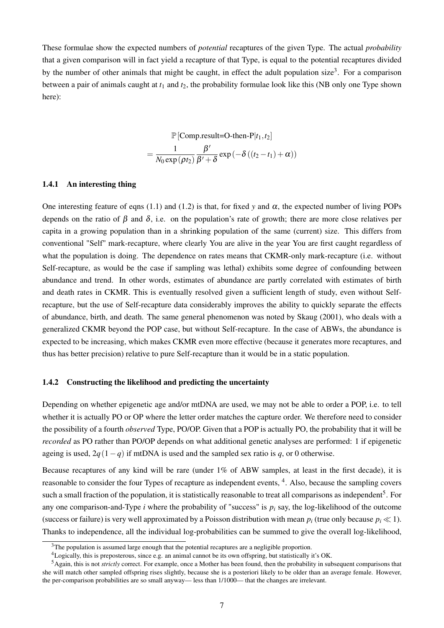These formulae show the expected numbers of *potential* recaptures of the given Type. The actual *probability* that a given comparison will in fact yield a recapture of that Type, is equal to the potential recaptures divided by the number of other animals that might be caught, in effect the adult population size<sup>3</sup>. For a comparison between a pair of animals caught at *t*<sup>1</sup> and *t*2, the probability formulae look like this (NB only one Type shown here):

$$
\mathbb{P}[\text{Comp.result=O-then-P}|t_1, t_2]
$$

$$
= \frac{1}{N_0 \exp(\rho t_2)} \frac{\beta'}{\beta' + \delta} \exp(-\delta((t_2 - t_1) + \alpha))
$$

## 1.4.1 An interesting thing

One interesting feature of eqns (1.1) and (1.2) is that, for fixed *y* and  $\alpha$ , the expected number of living POPs depends on the ratio of  $\beta$  and  $\delta$ , i.e. on the population's rate of growth; there are more close relatives per capita in a growing population than in a shrinking population of the same (current) size. This differs from conventional "Self" mark-recapture, where clearly You are alive in the year You are first caught regardless of what the population is doing. The dependence on rates means that CKMR-only mark-recapture (i.e. without Self-recapture, as would be the case if sampling was lethal) exhibits some degree of confounding between abundance and trend. In other words, estimates of abundance are partly correlated with estimates of birth and death rates in CKMR. This is eventually resolved given a sufficient length of study, even without Selfrecapture, but the use of Self-recapture data considerably improves the ability to quickly separate the effects of abundance, birth, and death. The same general phenomenon was noted by Skaug (2001), who deals with a generalized CKMR beyond the POP case, but without Self-recapture. In the case of ABWs, the abundance is expected to be increasing, which makes CKMR even more effective (because it generates more recaptures, and thus has better precision) relative to pure Self-recapture than it would be in a static population.

#### 1.4.2 Constructing the likelihood and predicting the uncertainty

Depending on whether epigenetic age and/or mtDNA are used, we may not be able to order a POP, i.e. to tell whether it is actually PO or OP where the letter order matches the capture order. We therefore need to consider the possibility of a fourth *observed* Type, PO/OP. Given that a POP is actually PO, the probability that it will be *recorded* as PO rather than PO/OP depends on what additional genetic analyses are performed: 1 if epigenetic ageing is used,  $2q(1-q)$  if mtDNA is used and the sampled sex ratio is *q*, or 0 otherwise.

Because recaptures of any kind will be rare (under 1% of ABW samples, at least in the first decade), it is reasonable to consider the four Types of recapture as independent events, <sup>4</sup>. Also, because the sampling covers such a small fraction of the population, it is statistically reasonable to treat all comparisons as independent<sup>5</sup>. For any one comparison-and-Type  $i$  where the probability of "success" is  $p_i$  say, the log-likelihood of the outcome (success or failure) is very well approximated by a Poisson distribution with mean  $p_i$  (true only because  $p_i \ll 1$ ). Thanks to independence, all the individual log-probabilities can be summed to give the overall log-likelihood,

<sup>&</sup>lt;sup>3</sup>The population is assumed large enough that the potential recaptures are a negligible proportion.

<sup>&</sup>lt;sup>4</sup>Logically, this is preposterous, since e.g. an animal cannot be its own offspring, but statistically it's OK.

<sup>5</sup>Again, this is not *strictly* correct. For example, once a Mother has been found, then the probability in subsequent comparisons that she will match other sampled offspring rises slightly, because she is a posteriori likely to be older than an average female. However, the per-comparison probabilities are so small anyway— less than 1/1000— that the changes are irrelevant.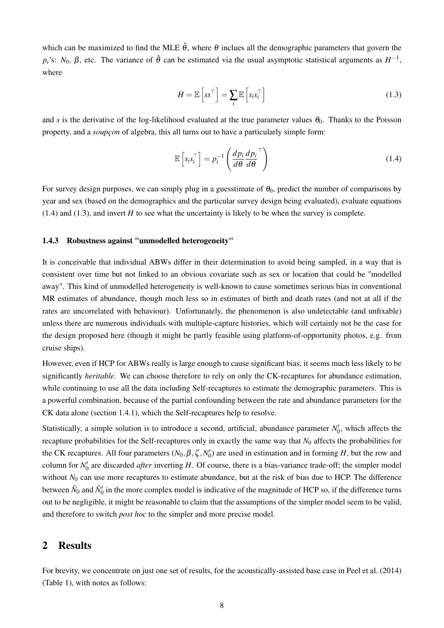which can be maximized to find the MLE  $\hat{\theta}$ , where  $\theta$  inclues all the demographic parameters that govern the  $p_i$ 's:  $N_0$ ,  $\beta$ , etc. The variance of  $\hat{\theta}$  can be estimated via the usual asymptotic statistical arguments as  $H^{-1}$ , where

$$
H = \mathbb{E}\left[s s^{\top}\right] = \sum_{i} \mathbb{E}\left[s_{i} s_{i}^{\top}\right]
$$
\n(1.3)

and *s* is the derivative of the log-likelihood evaluated at the true parameter values  $\theta_0$ . Thanks to the Poisson property, and a *soupçon* of algebra, this all turns out to have a particularly simple form:

$$
\mathbb{E}\left[s_i s_i^\top\right] = p_i^{-1} \left(\frac{dp_i}{d\theta} \frac{dp_i}{d\theta}^\top\right) \tag{1.4}
$$

For survey design purposes, we can simply plug in a guesstimate of  $\theta_0$ , predict the number of comparisons by year and sex (based on the demographics and the particular survey design being evaluated), evaluate equations  $(1.4)$  and  $(1.3)$ , and invert *H* to see what the uncertainty is likely to be when the survey is complete.

#### 1.4.3 Robustness against "unmodelled heterogeneity"

It is conceivable that individual ABWs differ in their determination to avoid being sampled, in a way that is consistent over time but not linked to an obvious covariate such as sex or location that could be "modelled away". This kind of unmodelled heterogeneity is well-known to cause sometimes serious bias in conventional MR estimates of abundance, though much less so in estimates of birth and death rates (and not at all if the rates are uncorrelated with behaviour). Unfortunately, the phenomenon is also undetectable (and unfixable) unless there are numerous individuals with multiple-capture histories, which will certainly not be the case for the design proposed here (though it might be partly feasible using platform-of-opportunity photos, e.g. from cruise ships).

However, even if HCP for ABWs really is large enough to cause significant bias, it seems much less likely to be significantly *heritable*. We can choose therefore to rely on only the CK-recaptures for abundance estimation, while continuing to use all the data including Self-recaptures to estimate the demographic parameters. This is a powerful combination, because of the partial confounding between the rate and abundance parameters for the CK data alone (section 1.4.1), which the Self-recaptures help to resolve.

Statistically, a simple solution is to introduce a second, artificial, abundance parameter  $N'_0$ , which affects the recapture probabilities for the Self-recaptures only in exactly the same way that *N*<sup>0</sup> affects the probabilities for the CK recaptures. All four parameters  $(N_0, \beta, \zeta, N'_0)$  are used in estimation and in forming *H*, but the row and column for  $N'_0$  are discarded *after* inverting  $H$ . Of course, there is a bias-variance trade-off; the simpler model without  $N_0$  can use more recaptures to estimate abundance, but at the risk of bias due to HCP. The difference between  $\hat{N}_0$  and  $\hat{N}'_0$  in the more complex model is indicative of the magnitude of HCP so, if the difference turns out to be negligible, it might be reasonable to claim that the assumptions of the simpler model seem to be valid, and therefore to switch *post hoc* to the simpler and more precise model.

## 2 Results

For brevity, we concentrate on just one set of results, for the acoustically-assisted base case in Peel et al. (2014) (Table 1), with notes as follows: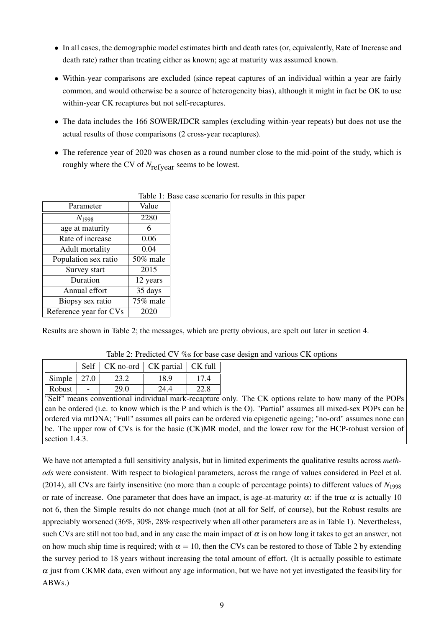- In all cases, the demographic model estimates birth and death rates (or, equivalently, Rate of Increase and death rate) rather than treating either as known; age at maturity was assumed known.
- Within-year comparisons are excluded (since repeat captures of an individual within a year are fairly common, and would otherwise be a source of heterogeneity bias), although it might in fact be OK to use within-year CK recaptures but not self-recaptures.
- The data includes the 166 SOWER/IDCR samples (excluding within-year repeats) but does not use the actual results of those comparisons (2 cross-year recaptures).
- The reference year of 2020 was chosen as a round number close to the mid-point of the study, which is roughly where the CV of  $N_{\text{refvear}}$  seems to be lowest.

|                        | TAUIU I. DASU |  |  |
|------------------------|---------------|--|--|
| Parameter              | Value         |  |  |
| $N_{1998}$             | 2280          |  |  |
| age at maturity        | 6             |  |  |
| Rate of increase       | 0.06          |  |  |
| Adult mortality        | 0.04          |  |  |
| Population sex ratio   | 50% male      |  |  |
| Survey start           | 2015          |  |  |
| Duration               | 12 years      |  |  |
| Annual effort          | 35 days       |  |  |
| Biopsy sex ratio       | 75% male      |  |  |
| Reference year for CVs | 2020          |  |  |

Table 1: Base case scenario for results in this paper

Results are shown in Table 2; the messages, which are pretty obvious, are spelt out later in section 4.

|                     | Self   CK no-ord   CK partial   CK full |      |      |
|---------------------|-----------------------------------------|------|------|
| Simple $\vert$ 27.0 | 23.2                                    | 18.9 | 17.4 |
| Robust              | 29.0                                    | 244  | 22.8 |

Table 2: Predicted CV %s for base case design and various CK options

"Self" means conventional individual mark-recapture only. The CK options relate to how many of the POPs can be ordered (i.e. to know which is the P and which is the O). "Partial" assumes all mixed-sex POPs can be ordered via mtDNA; "Full" assumes all pairs can be ordered via epigenetic ageing; "no-ord" assumes none can be. The upper row of CVs is for the basic (CK)MR model, and the lower row for the HCP-robust version of section 1.4.3.

We have not attempted a full sensitivity analysis, but in limited experiments the qualitative results across *methods* were consistent. With respect to biological parameters, across the range of values considered in Peel et al. (2014), all CVs are fairly insensitive (no more than a couple of percentage points) to different values of  $N_{1998}$ or rate of increase. One parameter that does have an impact, is age-at-maturity  $\alpha$ : if the true  $\alpha$  is actually 10 not 6, then the Simple results do not change much (not at all for Self, of course), but the Robust results are appreciably worsened (36%, 30%, 28% respectively when all other parameters are as in Table 1). Nevertheless, such CVs are still not too bad, and in any case the main impact of  $\alpha$  is on how long it takes to get an answer, not on how much ship time is required; with  $\alpha = 10$ , then the CVs can be restored to those of Table 2 by extending the survey period to 18 years without increasing the total amount of effort. (It is actually possible to estimate  $\alpha$  just from CKMR data, even without any age information, but we have not yet investigated the feasibility for ABWs.)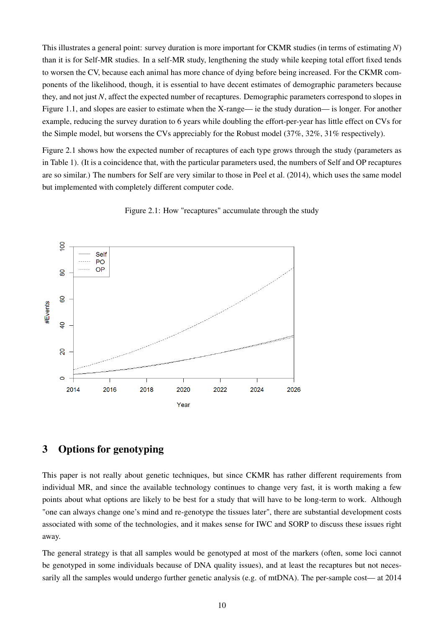This illustrates a general point: survey duration is more important for CKMR studies (in terms of estimating *N*) than it is for Self-MR studies. In a self-MR study, lengthening the study while keeping total effort fixed tends to worsen the CV, because each animal has more chance of dying before being increased. For the CKMR components of the likelihood, though, it is essential to have decent estimates of demographic parameters because they, and not just *N*, affect the expected number of recaptures. Demographic parameters correspond to slopes in Figure 1.1, and slopes are easier to estimate when the X-range— ie the study duration— is longer. For another example, reducing the survey duration to 6 years while doubling the effort-per-year has little effect on CVs for the Simple model, but worsens the CVs appreciably for the Robust model (37%, 32%, 31% respectively).

Figure 2.1 shows how the expected number of recaptures of each type grows through the study (parameters as in Table 1). (It is a coincidence that, with the particular parameters used, the numbers of Self and OP recaptures are so similar.) The numbers for Self are very similar to those in Peel et al. (2014), which uses the same model but implemented with completely different computer code.



Figure 2.1: How "recaptures" accumulate through the study

# 3 Options for genotyping

This paper is not really about genetic techniques, but since CKMR has rather different requirements from individual MR, and since the available technology continues to change very fast, it is worth making a few points about what options are likely to be best for a study that will have to be long-term to work. Although "one can always change one's mind and re-genotype the tissues later", there are substantial development costs associated with some of the technologies, and it makes sense for IWC and SORP to discuss these issues right away.

The general strategy is that all samples would be genotyped at most of the markers (often, some loci cannot be genotyped in some individuals because of DNA quality issues), and at least the recaptures but not necessarily all the samples would undergo further genetic analysis (e.g. of mtDNA). The per-sample cost— at 2014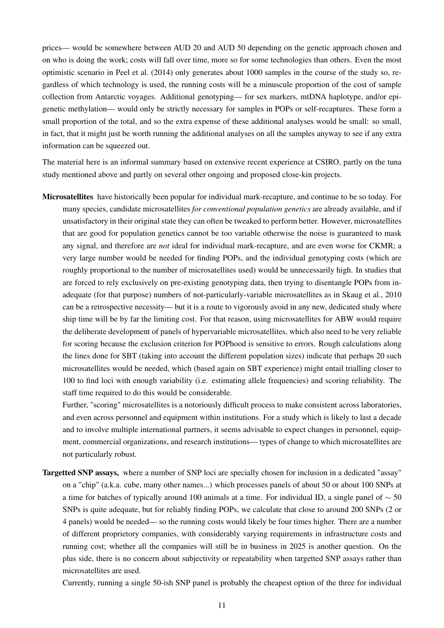prices— would be somewhere between AUD 20 and AUD 50 depending on the genetic approach chosen and on who is doing the work; costs will fall over time, more so for some technologies than others. Even the most optimistic scenario in Peel et al. (2014) only generates about 1000 samples in the course of the study so, regardless of which technology is used, the running costs will be a minuscule proportion of the cost of sample collection from Antarctic voyages. Additional genotyping— for sex markers, mtDNA haplotype, and/or epigenetic methylation— would only be strictly necessary for samples in POPs or self-recaptures. These form a small proportion of the total, and so the extra expense of these additional analyses would be small: so small, in fact, that it might just be worth running the additional analyses on all the samples anyway to see if any extra information can be squeezed out.

The material here is an informal summary based on extensive recent experience at CSIRO, partly on the tuna study mentioned above and partly on several other ongoing and proposed close-kin projects.

Microsatellites have historically been popular for individual mark-recapture, and continue to be so today. For many species, candidate microsatellites *for conventional population genetics* are already available, and if unsatisfactory in their original state they can often be tweaked to perform better. However, microsatellites that are good for population genetics cannot be too variable otherwise the noise is guaranteed to mask any signal, and therefore are *not* ideal for individual mark-recapture, and are even worse for CKMR; a very large number would be needed for finding POPs, and the individual genotyping costs (which are roughly proportional to the number of microsatellites used) would be unnecessarily high. In studies that are forced to rely exclusively on pre-existing genotyping data, then trying to disentangle POPs from inadequate (for that purpose) numbers of not-particularly-variable microsatellites as in Skaug et al., 2010 can be a retrospective necessity— but it is a route to vigorously avoid in any new, dedicated study where ship time will be by far the limiting cost. For that reason, using microsatellites for ABW would require the deliberate development of panels of hypervariable microsatellites, which also need to be very reliable for scoring because the exclusion criterion for POPhood is sensitive to errors. Rough calculations along the lines done for SBT (taking into account the different population sizes) indicate that perhaps 20 such microsatellites would be needed, which (based again on SBT experience) might entail trialling closer to 100 to find loci with enough variability (i.e. estimating allele frequencies) and scoring reliability. The staff time required to do this would be considerable.

Further, "scoring" microsatellites is a notoriously difficult process to make consistent across laboratories, and even across personnel and equipment within institutions. For a study which is likely to last a decade and to involve multiple international partners, it seems advisable to expect changes in personnel, equipment, commercial organizations, and research institutions— types of change to which microsatellites are not particularly robust.

Targetted SNP assays, where a number of SNP loci are specially chosen for inclusion in a dedicated "assay" on a "chip" (a.k.a. cube, many other names...) which processes panels of about 50 or about 100 SNPs at a time for batches of typically around 100 animals at a time. For individual ID, a single panel of ∼ 50 SNPs is quite adequate, but for reliably finding POPs, we calculate that close to around 200 SNPs (2 or 4 panels) would be needed— so the running costs would likely be four times higher. There are a number of different proprietory companies, with considerably varying requirements in infrastructure costs and running cost; whether all the companies will still be in business in 2025 is another question. On the plus side, there is no concern about subjectivity or repeatability when targetted SNP assays rather than microsatellites are used.

Currently, running a single 50-ish SNP panel is probably the cheapest option of the three for individual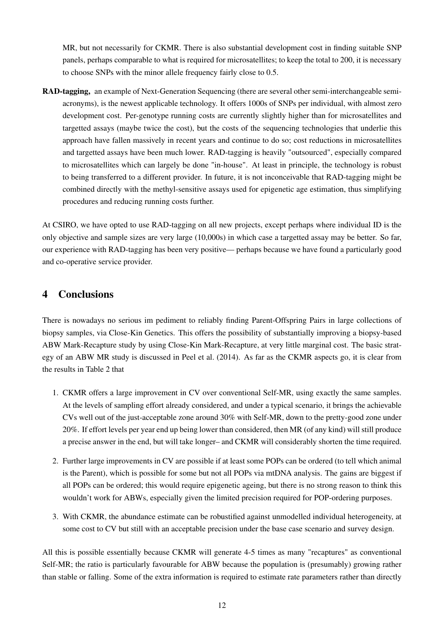MR, but not necessarily for CKMR. There is also substantial development cost in finding suitable SNP panels, perhaps comparable to what is required for microsatellites; to keep the total to 200, it is necessary to choose SNPs with the minor allele frequency fairly close to 0.5.

RAD-tagging, an example of Next-Generation Sequencing (there are several other semi-interchangeable semiacronyms), is the newest applicable technology. It offers 1000s of SNPs per individual, with almost zero development cost. Per-genotype running costs are currently slightly higher than for microsatellites and targetted assays (maybe twice the cost), but the costs of the sequencing technologies that underlie this approach have fallen massively in recent years and continue to do so; cost reductions in microsatellites and targetted assays have been much lower. RAD-tagging is heavily "outsourced", especially compared to microsatellites which can largely be done "in-house". At least in principle, the technology is robust to being transferred to a different provider. In future, it is not inconceivable that RAD-tagging might be combined directly with the methyl-sensitive assays used for epigenetic age estimation, thus simplifying procedures and reducing running costs further.

At CSIRO, we have opted to use RAD-tagging on all new projects, except perhaps where individual ID is the only objective and sample sizes are very large (10,000s) in which case a targetted assay may be better. So far, our experience with RAD-tagging has been very positive— perhaps because we have found a particularly good and co-operative service provider.

## 4 Conclusions

There is nowadays no serious im pediment to reliably finding Parent-Offspring Pairs in large collections of biopsy samples, via Close-Kin Genetics. This offers the possibility of substantially improving a biopsy-based ABW Mark-Recapture study by using Close-Kin Mark-Recapture, at very little marginal cost. The basic strategy of an ABW MR study is discussed in Peel et al. (2014). As far as the CKMR aspects go, it is clear from the results in Table 2 that

- 1. CKMR offers a large improvement in CV over conventional Self-MR, using exactly the same samples. At the levels of sampling effort already considered, and under a typical scenario, it brings the achievable CVs well out of the just-acceptable zone around 30% with Self-MR, down to the pretty-good zone under 20%. If effort levels per year end up being lower than considered, then MR (of any kind) will still produce a precise answer in the end, but will take longer– and CKMR will considerably shorten the time required.
- 2. Further large improvements in CV are possible if at least some POPs can be ordered (to tell which animal is the Parent), which is possible for some but not all POPs via mtDNA analysis. The gains are biggest if all POPs can be ordered; this would require epigenetic ageing, but there is no strong reason to think this wouldn't work for ABWs, especially given the limited precision required for POP-ordering purposes.
- 3. With CKMR, the abundance estimate can be robustified against unmodelled individual heterogeneity, at some cost to CV but still with an acceptable precision under the base case scenario and survey design.

All this is possible essentially because CKMR will generate 4-5 times as many "recaptures" as conventional Self-MR; the ratio is particularly favourable for ABW because the population is (presumably) growing rather than stable or falling. Some of the extra information is required to estimate rate parameters rather than directly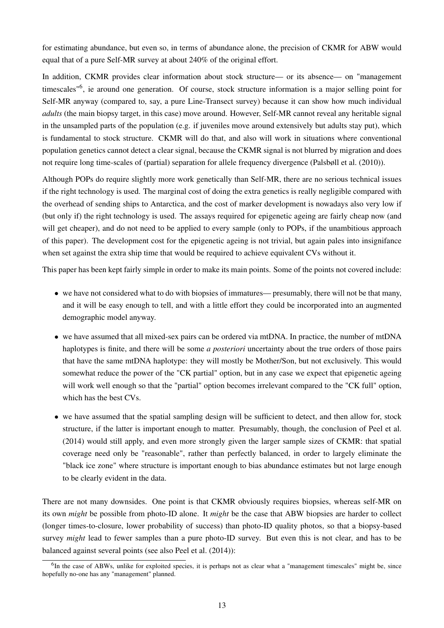for estimating abundance, but even so, in terms of abundance alone, the precision of CKMR for ABW would equal that of a pure Self-MR survey at about 240% of the original effort.

In addition, CKMR provides clear information about stock structure— or its absence— on "management timescales<sup>"6</sup>, ie around one generation. Of course, stock structure information is a major selling point for Self-MR anyway (compared to, say, a pure Line-Transect survey) because it can show how much individual *adults* (the main biopsy target, in this case) move around. However, Self-MR cannot reveal any heritable signal in the unsampled parts of the population (e.g. if juveniles move around extensively but adults stay put), which is fundamental to stock structure. CKMR will do that, and also will work in situations where conventional population genetics cannot detect a clear signal, because the CKMR signal is not blurred by migration and does not require long time-scales of (partial) separation for allele frequency divergence (Palsbøll et al. (2010)).

Although POPs do require slightly more work genetically than Self-MR, there are no serious technical issues if the right technology is used. The marginal cost of doing the extra genetics is really negligible compared with the overhead of sending ships to Antarctica, and the cost of marker development is nowadays also very low if (but only if) the right technology is used. The assays required for epigenetic ageing are fairly cheap now (and will get cheaper), and do not need to be applied to every sample (only to POPs, if the unambitious approach of this paper). The development cost for the epigenetic ageing is not trivial, but again pales into insignifance when set against the extra ship time that would be required to achieve equivalent CVs without it.

This paper has been kept fairly simple in order to make its main points. Some of the points not covered include:

- we have not considered what to do with biopsies of immatures— presumably, there will not be that many, and it will be easy enough to tell, and with a little effort they could be incorporated into an augmented demographic model anyway.
- we have assumed that all mixed-sex pairs can be ordered via mtDNA. In practice, the number of mtDNA haplotypes is finite, and there will be some *a posteriori* uncertainty about the true orders of those pairs that have the same mtDNA haplotype: they will mostly be Mother/Son, but not exclusively. This would somewhat reduce the power of the "CK partial" option, but in any case we expect that epigenetic ageing will work well enough so that the "partial" option becomes irrelevant compared to the "CK full" option, which has the best CVs.
- we have assumed that the spatial sampling design will be sufficient to detect, and then allow for, stock structure, if the latter is important enough to matter. Presumably, though, the conclusion of Peel et al. (2014) would still apply, and even more strongly given the larger sample sizes of CKMR: that spatial coverage need only be "reasonable", rather than perfectly balanced, in order to largely eliminate the "black ice zone" where structure is important enough to bias abundance estimates but not large enough to be clearly evident in the data.

There are not many downsides. One point is that CKMR obviously requires biopsies, whereas self-MR on its own *might* be possible from photo-ID alone. It *might* be the case that ABW biopsies are harder to collect (longer times-to-closure, lower probability of success) than photo-ID quality photos, so that a biopsy-based survey *might* lead to fewer samples than a pure photo-ID survey. But even this is not clear, and has to be balanced against several points (see also Peel et al. (2014)):

<sup>&</sup>lt;sup>6</sup>In the case of ABWs, unlike for exploited species, it is perhaps not as clear what a "management timescales" might be, since hopefully no-one has any "management" planned.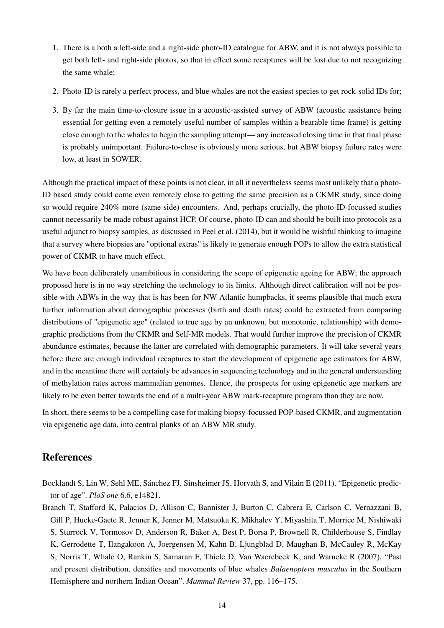- 1. There is a both a left-side and a right-side photo-ID catalogue for ABW, and it is not always possible to get both left- and right-side photos, so that in effect some recaptures will be lost due to not recognizing the same whale;
- 2. Photo-ID is rarely a perfect process, and blue whales are not the easiest species to get rock-solid IDs for;
- 3. By far the main time-to-closure issue in a acoustic-assisted survey of ABW (acoustic assistance being essential for getting even a remotely useful number of samples within a bearable time frame) is getting close enough to the whales to begin the sampling attempt— any increased closing time in that final phase is probably unimportant. Failure-to-close is obviously more serious, but ABW biopsy failure rates were low, at least in SOWER.

Although the practical impact of these points is not clear, in all it nevertheless seems most unlikely that a photo-ID based study could come even remotely close to getting the same precision as a CKMR study, since doing so would require 240% more (same-side) encounters. And, perhaps crucially, the photo-ID-focussed studies cannot necessarily be made robust against HCP. Of course, photo-ID can and should be built into protocols as a useful adjunct to biopsy samples, as discussed in Peel et al. (2014), but it would be wishful thinking to imagine that a survey where biopsies are "optional extras" is likely to generate enough POPs to allow the extra statistical power of CKMR to have much effect.

We have been deliberately unambitious in considering the scope of epigenetic ageing for ABW; the approach proposed here is in no way stretching the technology to its limits. Although direct calibration will not be possible with ABWs in the way that is has been for NW Atlantic humpbacks, it seems plausible that much extra further information about demographic processes (birth and death rates) could be extracted from comparing distributions of "epigenetic age" (related to true age by an unknown, but monotonic, relationship) with demographic predictions from the CKMR and Self-MR models. That would further improve the precision of CKMR abundance estimates, because the latter are correlated with demographic parameters. It will take several years before there are enough individual recaptures to start the development of epigenetic age estimators for ABW, and in the meantime there will certainly be advances in sequencing technology and in the general understanding of methylation rates across mammalian genomes. Hence, the prospects for using epigenetic age markers are likely to be even better towards the end of a multi-year ABW mark-recapture program than they are now.

In short, there seems to be a compelling case for making biopsy-focussed POP-based CKMR, and augmentation via epigenetic age data, into central planks of an ABW MR study.

# References

- Bocklandt S, Lin W, Sehl ME, Sánchez FJ, Sinsheimer JS, Horvath S, and Vilain E (2011). "Epigenetic predictor of age". *PloS one* 6.6, e14821.
- Branch T, Stafford K, Palacios D, Allison C, Bannister J, Burton C, Cabrera E, Carlson C, Vernazzani B, Gill P, Hucke-Gaete R, Jenner K, Jenner M, Matsuoka K, Mikhalev Y, Miyashita T, Morrice M, Nishiwaki S, Sturrock V, Tormosov D, Anderson R, Baker A, Best P, Borsa P, Brownell R, Childerhouse S, Findlay K, Gerrodette T, Ilangakoon A, Joergensen M, Kahn B, Ljungblad D, Maughan B, McCauley R, McKay S, Norris T, Whale O, Rankin S, Samaran F, Thiele D, Van Waerebeek K, and Warneke R (2007). "Past and present distribution, densities and movements of blue whales *Balaenoptera musculus* in the Southern Hemisphere and northern Indian Ocean". *Mammal Review* 37, pp. 116–175.